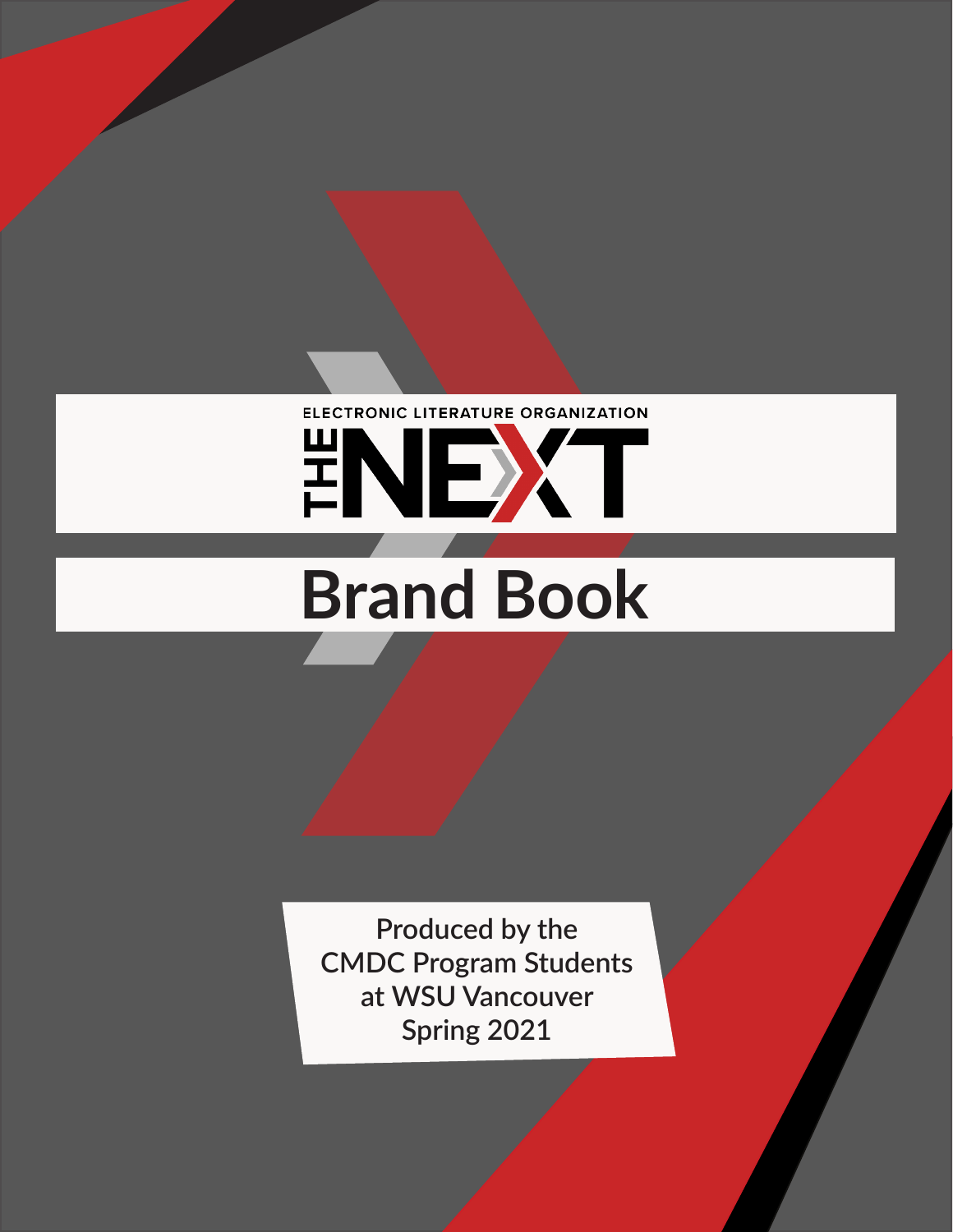## ELECTRONIC LITERATURE ORGANIZATION ENEXT

# **Brand Book**

**Produced by the CMDC Program Students at WSU Vancouver Spring 2021**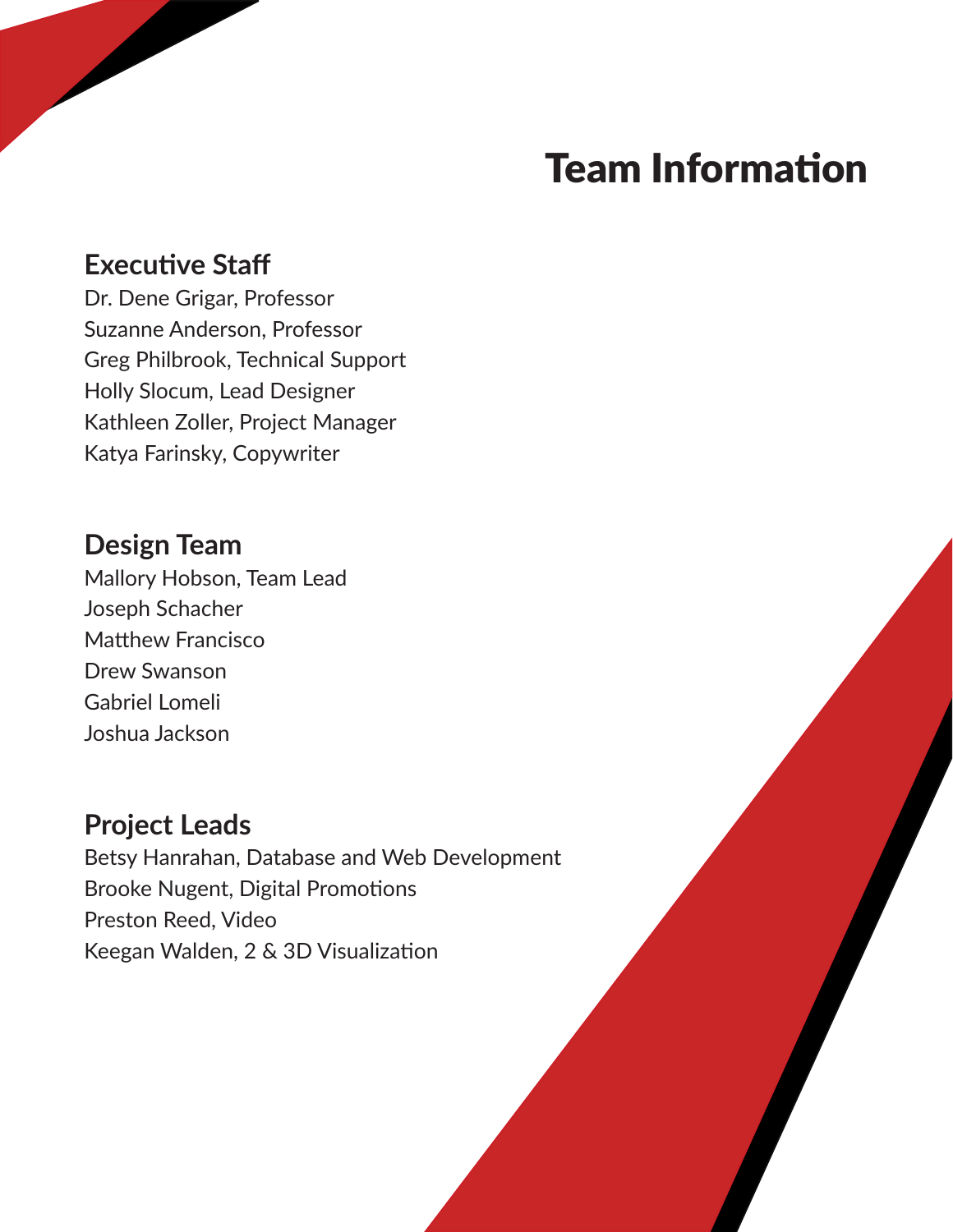## Team Information

#### **Executive Staff**

Dr. Dene Grigar, Professor Suzanne Anderson, Professor Greg Philbrook, Technical Support Holly Slocum, Lead Designer Kathleen Zoller, Project Manager Katya Farinsky, Copywriter

#### **Design Team**

Mallory Hobson, Team Lead Joseph Schacher Matthew Francisco Drew Swanson Gabriel Lomeli Joshua Jackson

#### **Project Leads**

Betsy Hanrahan, Database and Web Development Brooke Nugent, Digital Promotions Preston Reed, Video Keegan Walden, 2 & 3D Visualization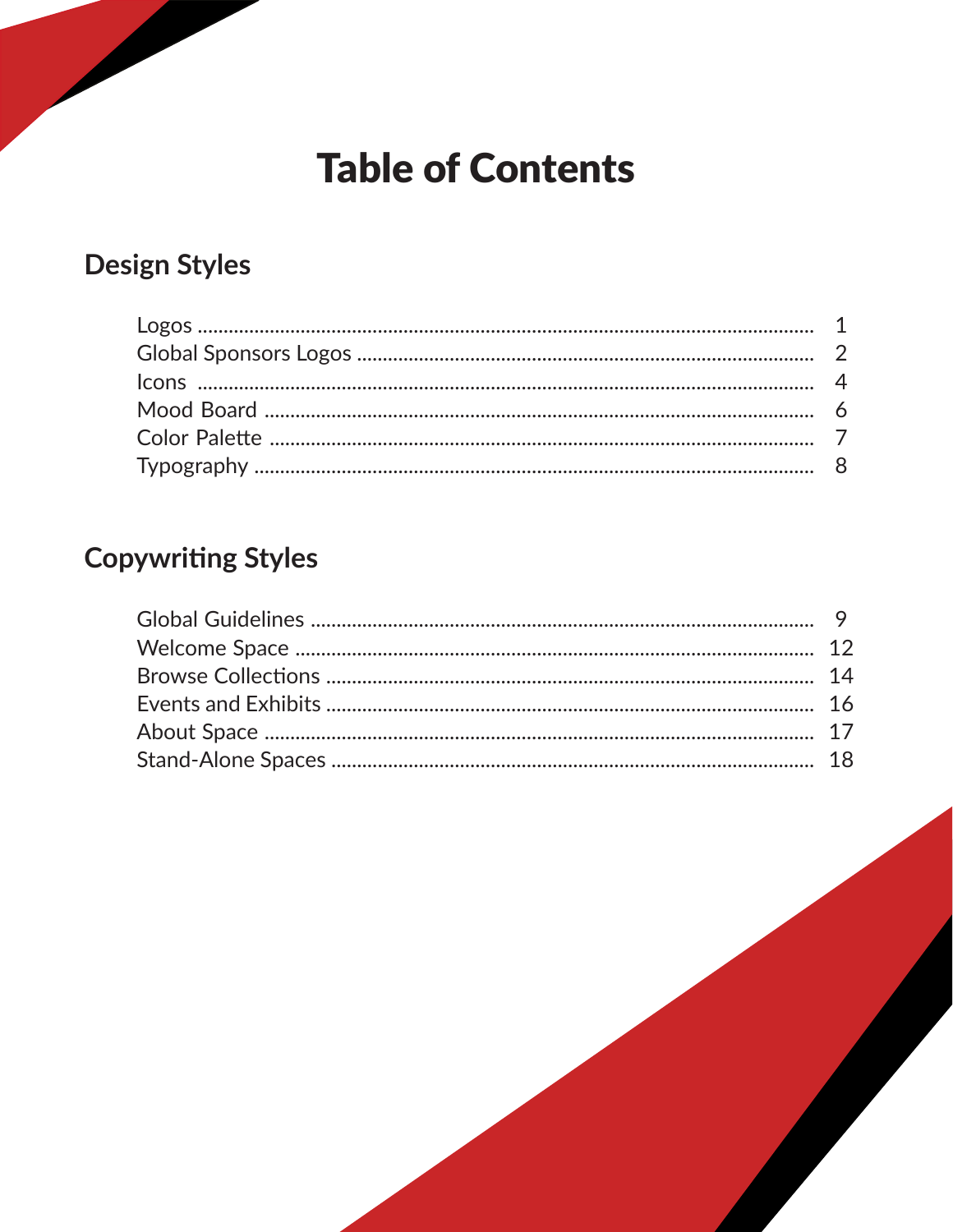## **Table of Contents**

#### **Design Styles**

#### **Copywriting Styles**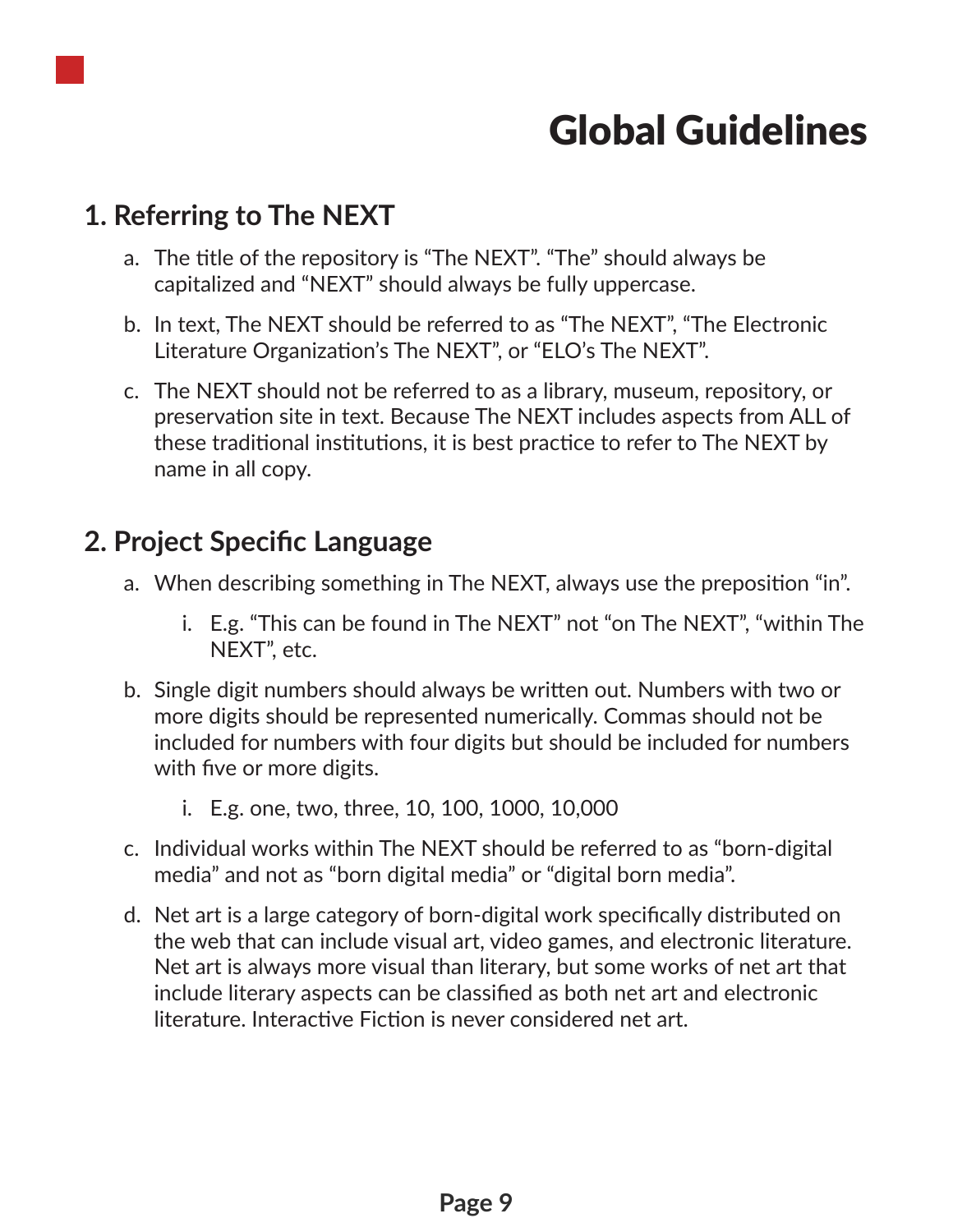

## Global Guidelines

#### **1. Referring to The NEXT**

- a. The title of the repository is "The NEXT". "The" should always be capitalized and "NEXT" should always be fully uppercase.
- b. In text, The NEXT should be referred to as "The NEXT", "The Electronic Literature Organization's The NEXT", or "ELO's The NEXT".
- c. The NEXT should not be referred to as a library, museum, repository, or preservation site in text. Because The NEXT includes aspects from ALL of these traditional institutions, it is best practice to refer to The NEXT by name in all copy.

#### **2. Project Specific Language**

- a. When describing something in The NEXT, always use the preposition "in".
	- i. E.g. "This can be found in The NEXT" not "on The NEXT", "within The NEXT", etc.
- b. Single digit numbers should always be written out. Numbers with two or more digits should be represented numerically. Commas should not be included for numbers with four digits but should be included for numbers with five or more digits.
	- i. E.g. one, two, three, 10, 100, 1000, 10,000
- c. Individual works within The NEXT should be referred to as "born-digital media" and not as "born digital media" or "digital born media".
- d. Net art is a large category of born-digital work specifically distributed on the web that can include visual art, video games, and electronic literature. Net art is always more visual than literary, but some works of net art that include literary aspects can be classified as both net art and electronic literature. Interactive Fiction is never considered net art.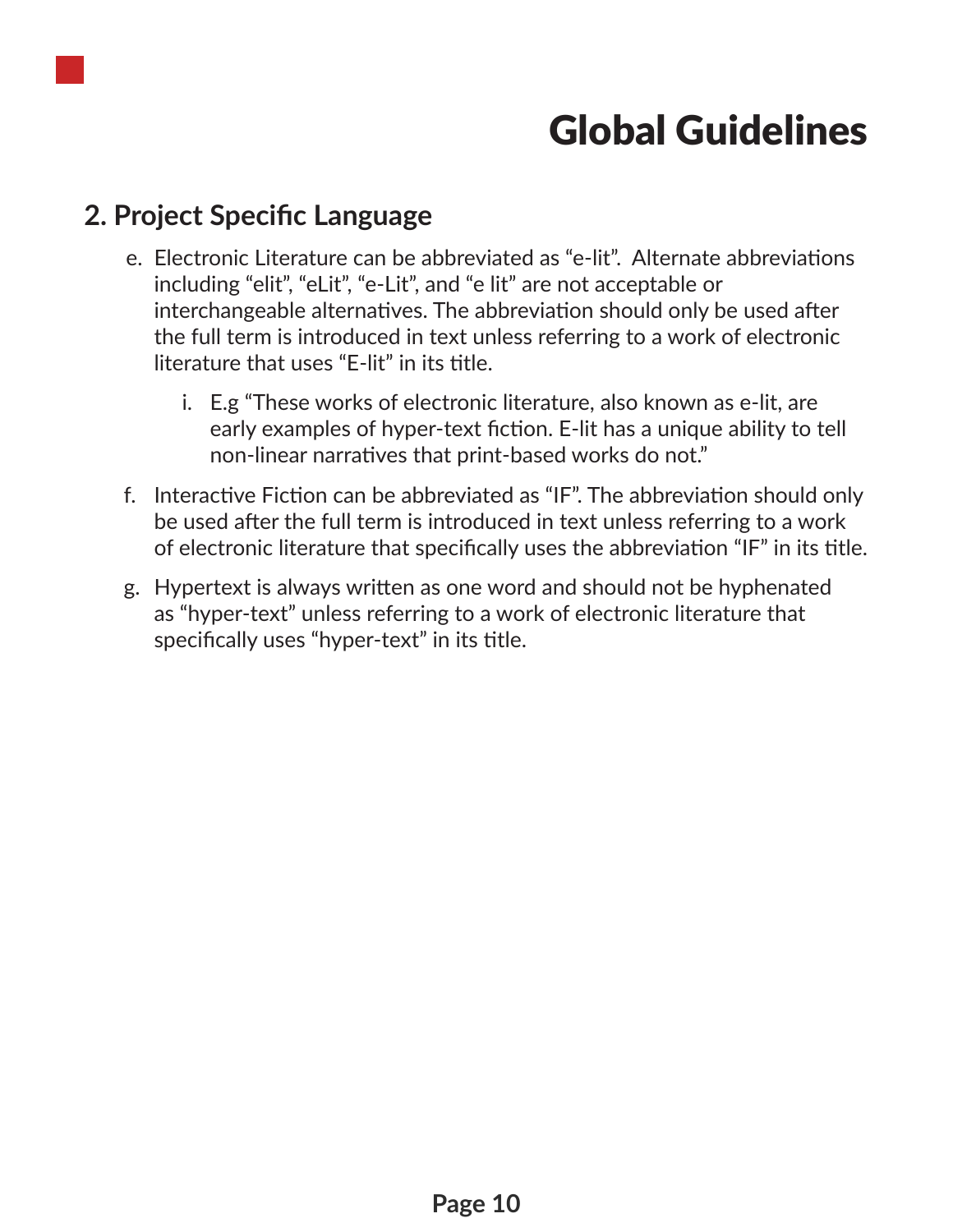

## Global Guidelines

#### **2. Project Specific Language**

- e. Electronic Literature can be abbreviated as "e-lit". Alternate abbreviations including "elit", "eLit", "e-Lit", and "e lit" are not acceptable or interchangeable alternatives. The abbreviation should only be used after the full term is introduced in text unless referring to a work of electronic literature that uses "E-lit" in its title.
	- i. E.g "These works of electronic literature, also known as e-lit, are early examples of hyper-text fiction. E-lit has a unique ability to tell non-linear narratives that print-based works do not."
- f. Interactive Fiction can be abbreviated as "IF". The abbreviation should only be used after the full term is introduced in text unless referring to a work of electronic literature that specifically uses the abbreviation "IF" in its title.
- g. Hypertext is always written as one word and should not be hyphenated as "hyper-text" unless referring to a work of electronic literature that specifically uses "hyper-text" in its title.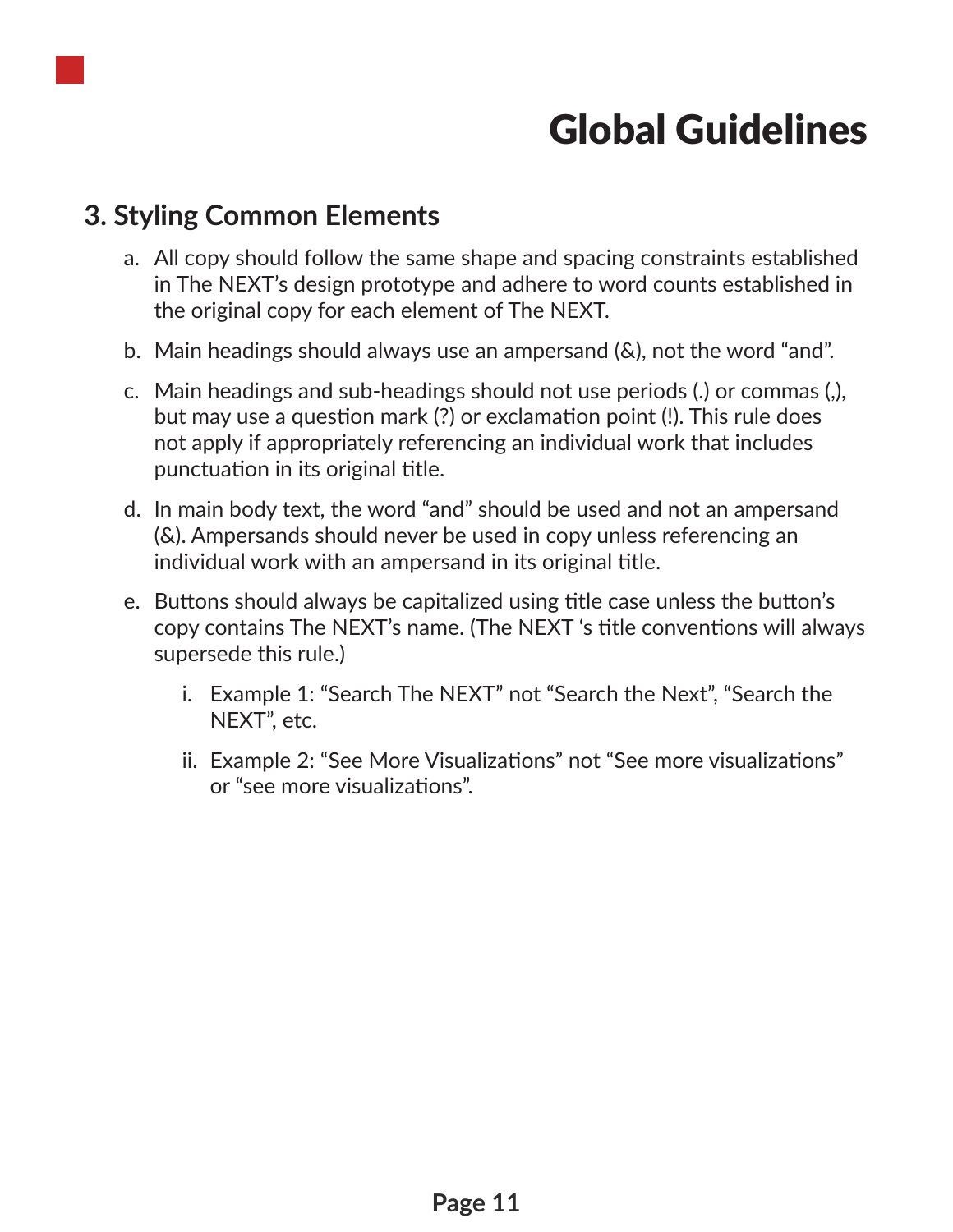

## Global Guidelines

#### **3. Styling Common Elements**

- a. All copy should follow the same shape and spacing constraints established in The NEXT's design prototype and adhere to word counts established in the original copy for each element of The NEXT.
- b. Main headings should always use an ampersand (&), not the word "and".
- c. Main headings and sub-headings should not use periods (.) or commas (,), but may use a question mark (?) or exclamation point (!). This rule does not apply if appropriately referencing an individual work that includes punctuation in its original title.
- d. In main body text, the word "and" should be used and not an ampersand (&). Ampersands should never be used in copy unless referencing an individual work with an ampersand in its original title.
- e. Buttons should always be capitalized using title case unless the button's copy contains The NEXT's name. (The NEXT 's title conventions will always supersede this rule.)
	- i. Example 1: "Search The NEXT" not "Search the Next", "Search the NEXT", etc.
	- ii. Example 2: "See More Visualizations" not "See more visualizations" or "see more visualizations".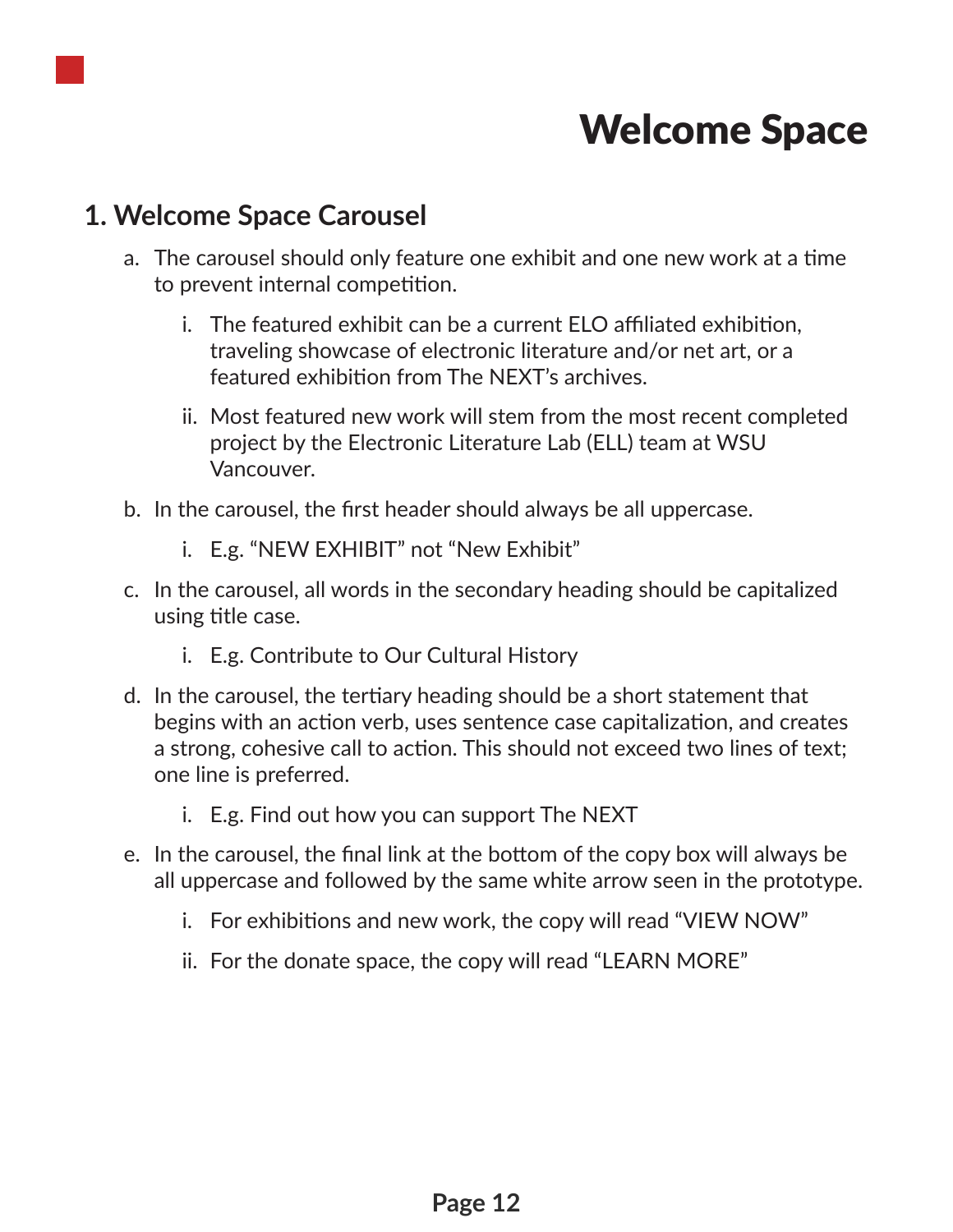

#### **1. Welcome Space Carousel**

- a. The carousel should only feature one exhibit and one new work at a time to prevent internal competition.
	- i. The featured exhibit can be a current ELO affiliated exhibition, traveling showcase of electronic literature and/or net art, or a featured exhibition from The NEXT's archives.
	- ii. Most featured new work will stem from the most recent completed project by the Electronic Literature Lab (ELL) team at WSU Vancouver.
- b. In the carousel, the first header should always be all uppercase.
	- i. E.g. "NEW EXHIBIT" not "New Exhibit"
- c. In the carousel, all words in the secondary heading should be capitalized using title case.
	- i. E.g. Contribute to Our Cultural History
- d. In the carousel, the tertiary heading should be a short statement that begins with an action verb, uses sentence case capitalization, and creates a strong, cohesive call to action. This should not exceed two lines of text; one line is preferred.
	- i. E.g. Find out how you can support The NEXT
- e. In the carousel, the final link at the bottom of the copy box will always be all uppercase and followed by the same white arrow seen in the prototype.
	- i. For exhibitions and new work, the copy will read "VIEW NOW"
	- ii. For the donate space, the copy will read "LEARN MORE"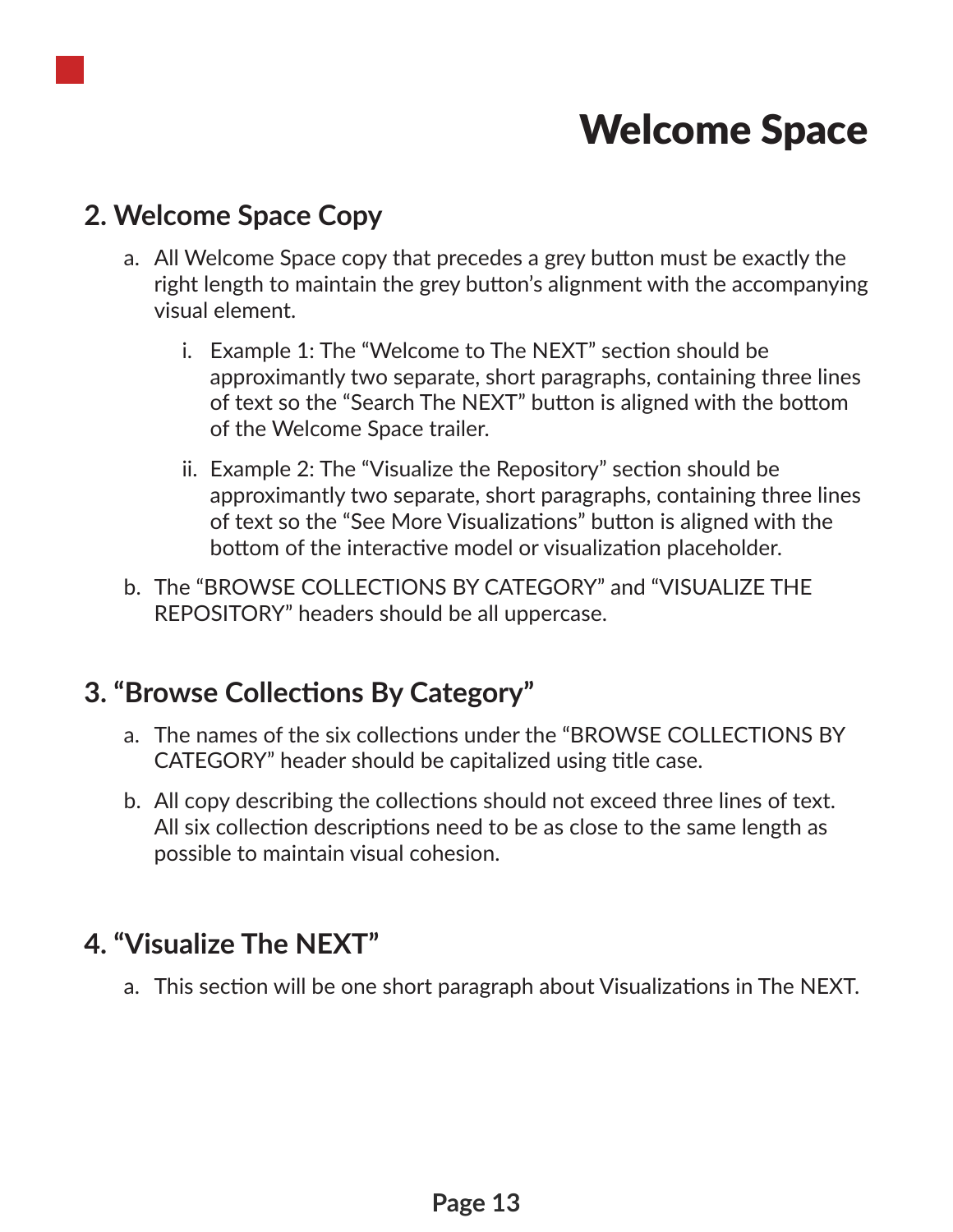

#### **2. Welcome Space Copy**

- a. All Welcome Space copy that precedes a grey button must be exactly the right length to maintain the grey button's alignment with the accompanying visual element.
	- i. Example 1: The "Welcome to The NEXT" section should be approximantly two separate, short paragraphs, containing three lines of text so the "Search The NEXT" button is aligned with the bottom of the Welcome Space trailer.
	- ii. Example 2: The "Visualize the Repository" section should be approximantly two separate, short paragraphs, containing three lines of text so the "See More Visualizations" button is aligned with the bottom of the interactive model or visualization placeholder.
- b. The "BROWSE COLLECTIONS BY CATEGORY" and "VISUALIZE THE REPOSITORY" headers should be all uppercase.

#### **3. "Browse Collections By Category"**

- a. The names of the six collections under the "BROWSE COLLECTIONS BY CATEGORY" header should be capitalized using title case.
- b. All copy describing the collections should not exceed three lines of text. All six collection descriptions need to be as close to the same length as possible to maintain visual cohesion.

#### **4. "Visualize The NEXT"**

a. This section will be one short paragraph about Visualizations in The NEXT.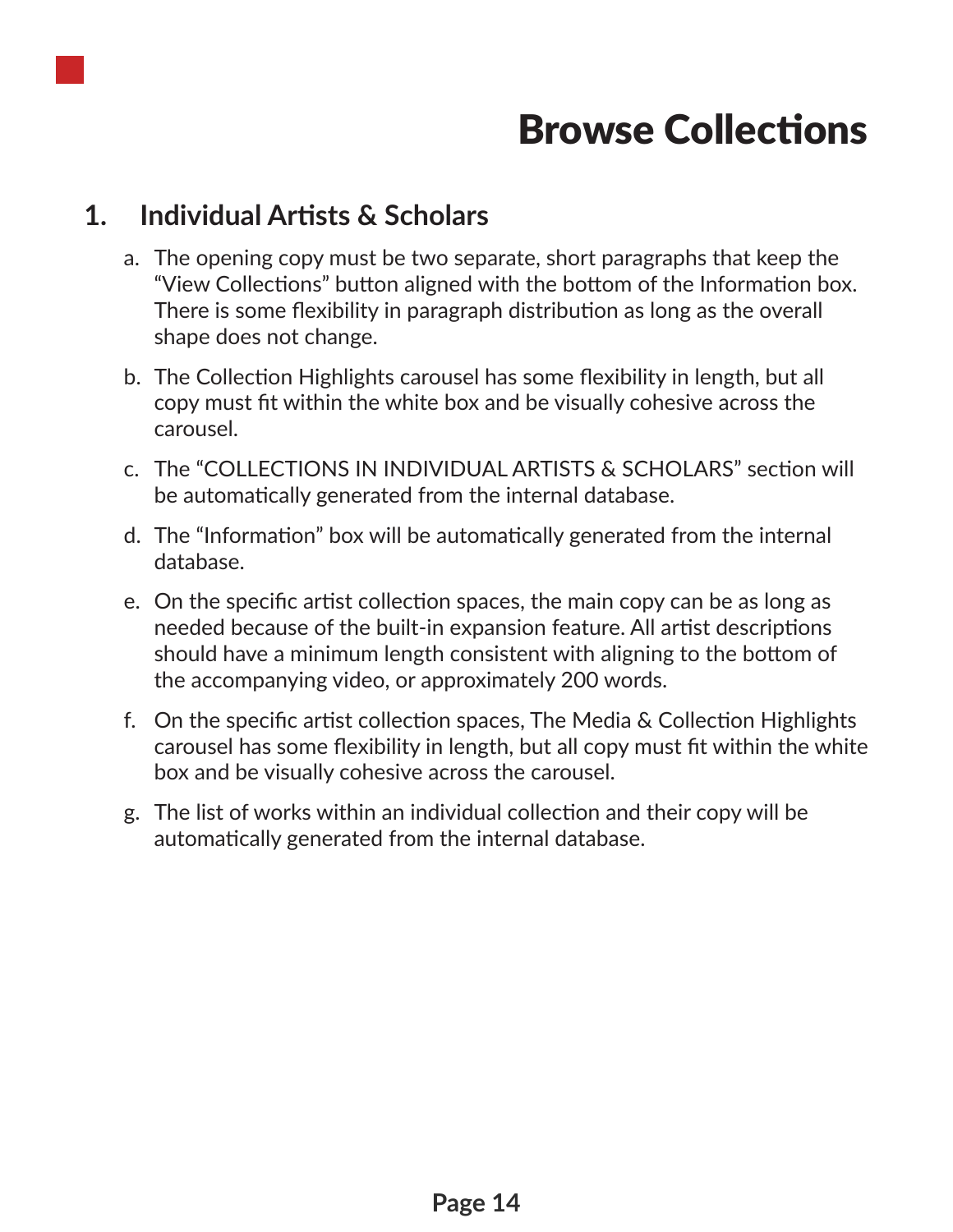

## Browse Collections

#### **1. Individual Artists & Scholars**

- a. The opening copy must be two separate, short paragraphs that keep the "View Collections" button aligned with the bottom of the Information box. There is some flexibility in paragraph distribution as long as the overall shape does not change.
- b. The Collection Highlights carousel has some flexibility in length, but all copy must fit within the white box and be visually cohesive across the carousel.
- c. The "COLLECTIONS IN INDIVIDUAL ARTISTS & SCHOLARS" section will be automatically generated from the internal database.
- d. The "Information" box will be automatically generated from the internal database.
- e. On the specific artist collection spaces, the main copy can be as long as needed because of the built-in expansion feature. All artist descriptions should have a minimum length consistent with aligning to the bottom of the accompanying video, or approximately 200 words.
- f. On the specific artist collection spaces, The Media & Collection Highlights carousel has some flexibility in length, but all copy must fit within the white box and be visually cohesive across the carousel.
- g. The list of works within an individual collection and their copy will be automatically generated from the internal database.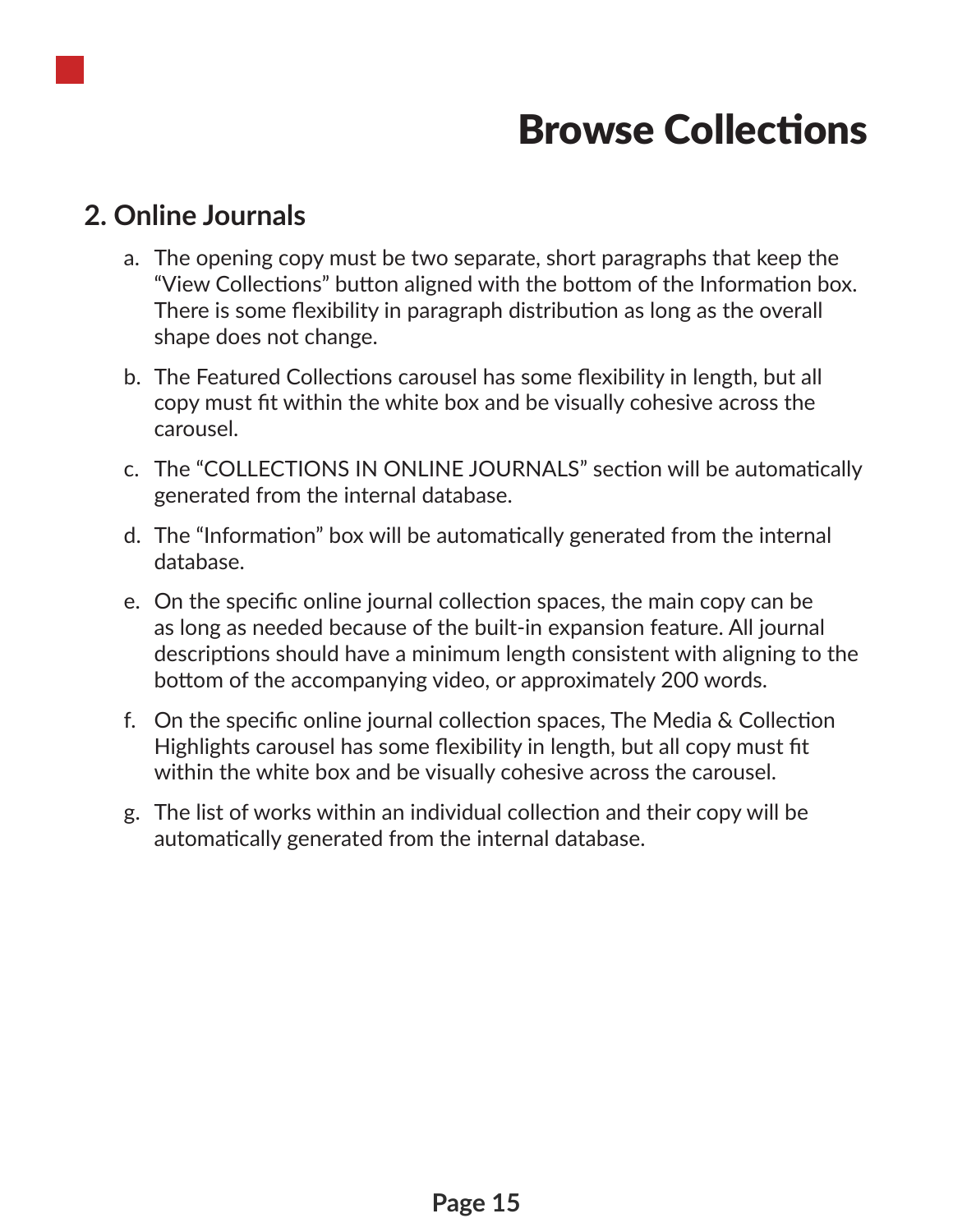

## Browse Collections

#### **2. Online Journals**

- a. The opening copy must be two separate, short paragraphs that keep the "View Collections" button aligned with the bottom of the Information box. There is some flexibility in paragraph distribution as long as the overall shape does not change.
- b. The Featured Collections carousel has some flexibility in length, but all copy must fit within the white box and be visually cohesive across the carousel.
- c. The "COLLECTIONS IN ONLINE JOURNALS" section will be automatically generated from the internal database.
- d. The "Information" box will be automatically generated from the internal database.
- e. On the specific online journal collection spaces, the main copy can be as long as needed because of the built-in expansion feature. All journal descriptions should have a minimum length consistent with aligning to the bottom of the accompanying video, or approximately 200 words.
- f. On the specific online journal collection spaces, The Media & Collection Highlights carousel has some flexibility in length, but all copy must fit within the white box and be visually cohesive across the carousel.
- g. The list of works within an individual collection and their copy will be automatically generated from the internal database.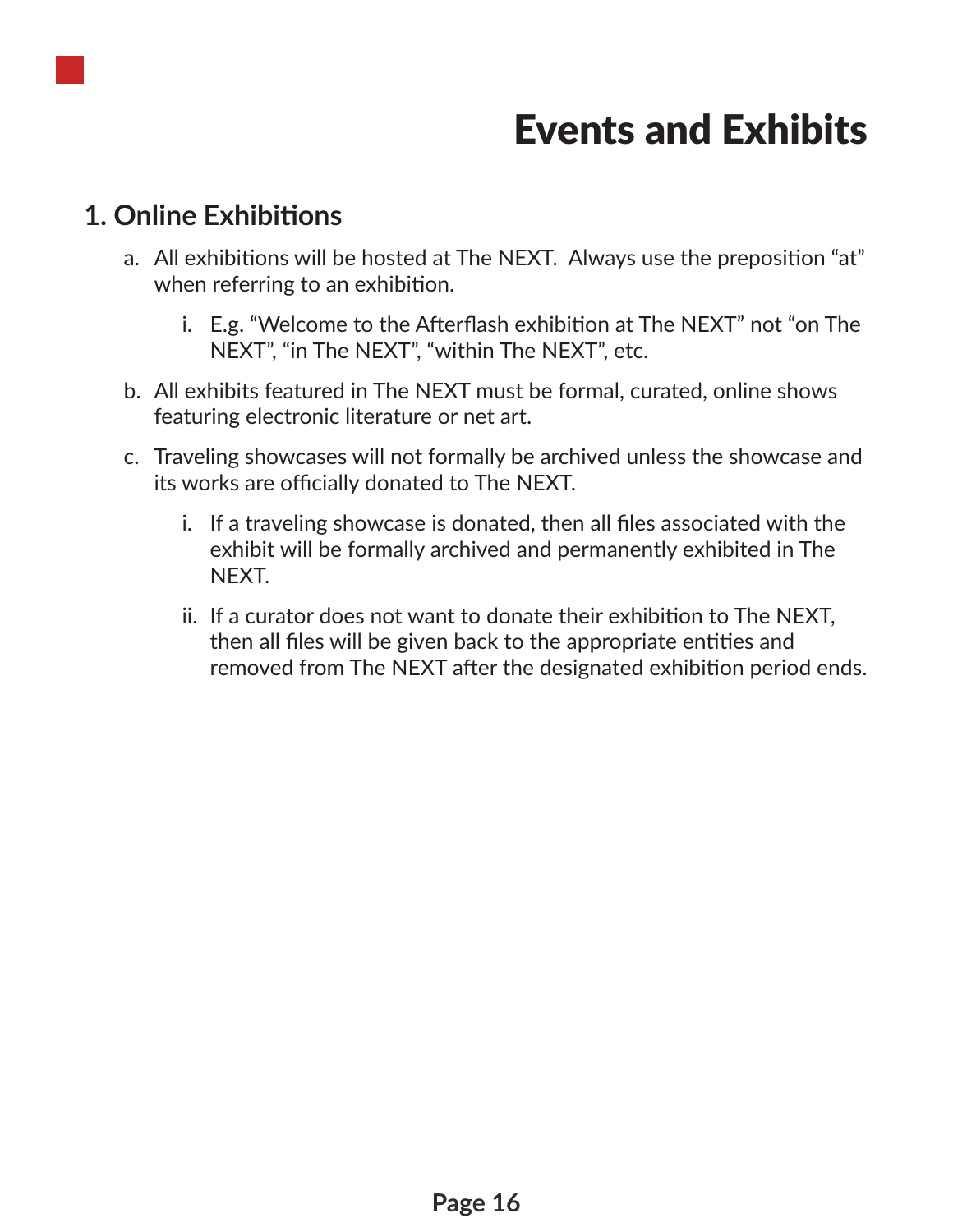

## Events and Exhibits

#### **1. Online Exhibitions**

- a. All exhibitions will be hosted at The NEXT. Always use the preposition "at" when referring to an exhibition.
	- i. E.g. "Welcome to the Afterflash exhibition at The NEXT" not "on The NEXT", "in The NEXT", "within The NEXT", etc.
- b. All exhibits featured in The NEXT must be formal, curated, online shows featuring electronic literature or net art.
- c. Traveling showcases will not formally be archived unless the showcase and its works are officially donated to The NEXT.
	- i. If a traveling showcase is donated, then all files associated with the exhibit will be formally archived and permanently exhibited in The NEXT.
	- ii. If a curator does not want to donate their exhibition to The NEXT, then all files will be given back to the appropriate entities and removed from The NEXT after the designated exhibition period ends.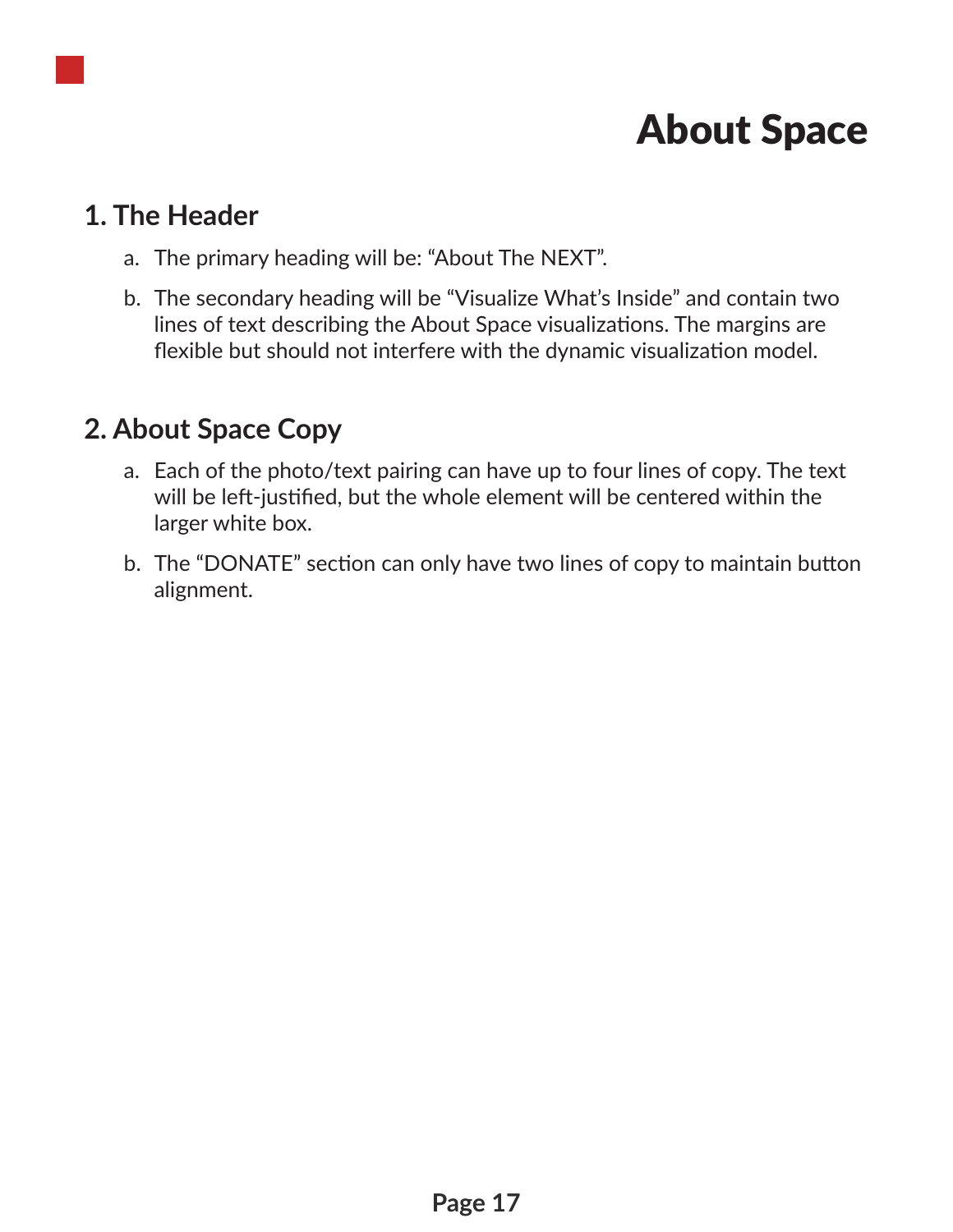## About Space

#### **1. The Header**

- a. The primary heading will be: "About The NEXT".
- b. The secondary heading will be "Visualize What's Inside" and contain two lines of text describing the About Space visualizations. The margins are flexible but should not interfere with the dynamic visualization model.

#### **2. About Space Copy**

- a. Each of the photo/text pairing can have up to four lines of copy. The text will be left-justified, but the whole element will be centered within the larger white box.
- b. The "DONATE" section can only have two lines of copy to maintain button alignment.